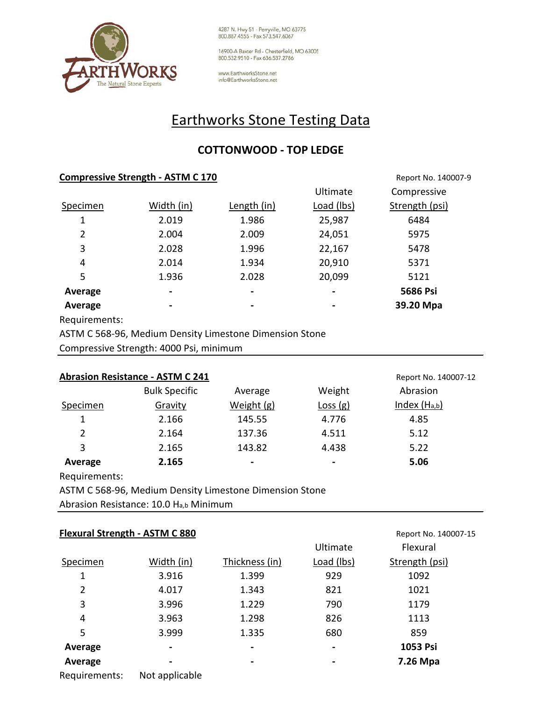

4287 N. Hwy 51 - Perryville, MO 63775<br>800.887.4555 - Fax 573.547.6067

16900-A Baxter Rd - Chesterfield, MO 63005 800.532.9510 - Fax 636.537.2786

www.EarthworksStone.net info@EarthworksStone.net

## Earthworks Stone Testing Data

## **COTTONWOOD - TOP LEDGE**

| <b>Compressive Strength - ASTM C 170</b> |                | Report No. 140007-9 |            |                |  |
|------------------------------------------|----------------|---------------------|------------|----------------|--|
|                                          |                |                     | Ultimate   | Compressive    |  |
| Specimen                                 | Width (in)     | Length (in)         | Load (lbs) | Strength (psi) |  |
| 1                                        | 2.019          | 1.986               | 25,987     | 6484           |  |
| 2                                        | 2.004          | 2.009               | 24,051     | 5975           |  |
| 3                                        | 2.028          | 1.996               | 22,167     | 5478           |  |
| 4                                        | 2.014          | 1.934               | 20,910     | 5371           |  |
| 5                                        | 1.936          | 2.028               | 20,099     | 5121           |  |
| Average                                  | $\blacksquare$ |                     |            | 5686 Psi       |  |
| Average                                  | ۰              | -                   |            | 39.20 Mpa      |  |
| Doou decessari                           |                |                     |            |                |  |

Requirements:

ASTM C 568-96, Medium Density Limestone Dimension Stone

Compressive Strength: 4000 Psi, minimum

| <b>Abrasion Resistance - ASTM C 241</b><br>Report No. 140007-12 |                      |                 |                |                |  |
|-----------------------------------------------------------------|----------------------|-----------------|----------------|----------------|--|
|                                                                 | <b>Bulk Specific</b> | Average         | Weight         | Abrasion       |  |
| Specimen                                                        | Gravity              | Weight (g)      | Loss(g)        | Index $(Ha,b)$ |  |
| 1                                                               | 2.166                | 145.55          | 4.776          | 4.85           |  |
| 2                                                               | 2.164                | 137.36          | 4.511          | 5.12           |  |
| 3                                                               | 2.165                | 143.82          | 4.438          | 5.22           |  |
| Average                                                         | 2.165                | $\qquad \qquad$ | $\blacksquare$ | 5.06           |  |

Requirements:

ASTM C 568-96, Medium Density Limestone Dimension Stone

Abrasion Resistance: 10.0 Ha,b Minimum

|          | <b>Flexural Strength - ASTM C 880</b> |                |                | Report No. 140007-15 |
|----------|---------------------------------------|----------------|----------------|----------------------|
|          |                                       |                | Ultimate       | Flexural             |
| Specimen | Width (in)                            | Thickness (in) | Load (lbs)     | Strength (psi)       |
| 1        | 3.916                                 | 1.399          | 929            | 1092                 |
| 2        | 4.017                                 | 1.343          | 821            | 1021                 |
| 3        | 3.996                                 | 1.229          | 790            | 1179                 |
| 4        | 3.963                                 | 1.298          | 826            | 1113                 |
| 5        | 3.999                                 | 1.335          | 680            | 859                  |
| Average  | $\blacksquare$                        | $\blacksquare$ | $\blacksquare$ | 1053 Psi             |
| Average  |                                       |                |                | 7.26 Mpa             |
|          | $\cdots$                              |                |                |                      |

Requirements: Not applicable